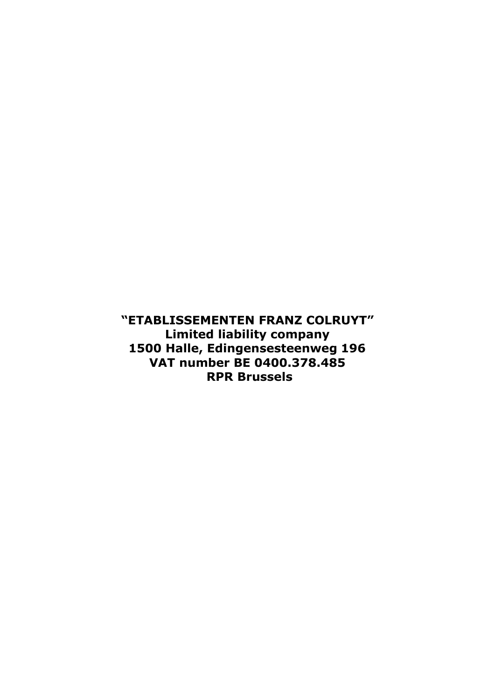**"ETABLISSEMENTEN FRANZ COLRUYT" Limited liability company 1500 Halle, Edingensesteenweg 196 VAT number BE 0400.378.485 RPR Brussels**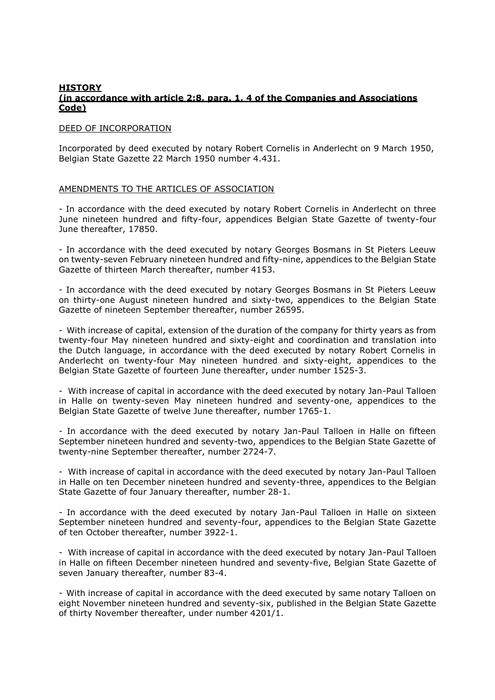### **HISTORY (in accordance with article 2:8, para. 1, 4 of the Companies and Associations Code)**

### DEED OF INCORPORATION

Incorporated by deed executed by notary Robert Cornelis in Anderlecht on 9 March 1950, Belgian State Gazette 22 March 1950 number 4.431.

# AMENDMENTS TO THE ARTICLES OF ASSOCIATION

- In accordance with the deed executed by notary Robert Cornelis in Anderlecht on three June nineteen hundred and fifty-four, appendices Belgian State Gazette of twenty-four June thereafter, 17850.

- In accordance with the deed executed by notary Georges Bosmans in St Pieters Leeuw on twenty-seven February nineteen hundred and fifty-nine, appendices to the Belgian State Gazette of thirteen March thereafter, number 4153.

- In accordance with the deed executed by notary Georges Bosmans in St Pieters Leeuw on thirty-one August nineteen hundred and sixty-two, appendices to the Belgian State Gazette of nineteen September thereafter, number 26595.

- With increase of capital, extension of the duration of the company for thirty years as from twenty-four May nineteen hundred and sixty-eight and coordination and translation into the Dutch language, in accordance with the deed executed by notary Robert Cornelis in Anderlecht on twenty-four May nineteen hundred and sixty-eight, appendices to the Belgian State Gazette of fourteen June thereafter, under number 1525-3.

- With increase of capital in accordance with the deed executed by notary Jan-Paul Talloen in Halle on twenty-seven May nineteen hundred and seventy-one, appendices to the Belgian State Gazette of twelve June thereafter, number 1765-1.

- In accordance with the deed executed by notary Jan-Paul Talloen in Halle on fifteen September nineteen hundred and seventy-two, appendices to the Belgian State Gazette of twenty-nine September thereafter, number 2724-7.

- With increase of capital in accordance with the deed executed by notary Jan-Paul Talloen in Halle on ten December nineteen hundred and seventy-three, appendices to the Belgian State Gazette of four January thereafter, number 28-1.

- In accordance with the deed executed by notary Jan-Paul Talloen in Halle on sixteen September nineteen hundred and seventy-four, appendices to the Belgian State Gazette of ten October thereafter, number 3922-1.

- With increase of capital in accordance with the deed executed by notary Jan-Paul Talloen in Halle on fifteen December nineteen hundred and seventy-five, Belgian State Gazette of seven January thereafter, number 83-4.

- With increase of capital in accordance with the deed executed by same notary Talloen on eight November nineteen hundred and seventy-six, published in the Belgian State Gazette of thirty November thereafter, under number 4201/1.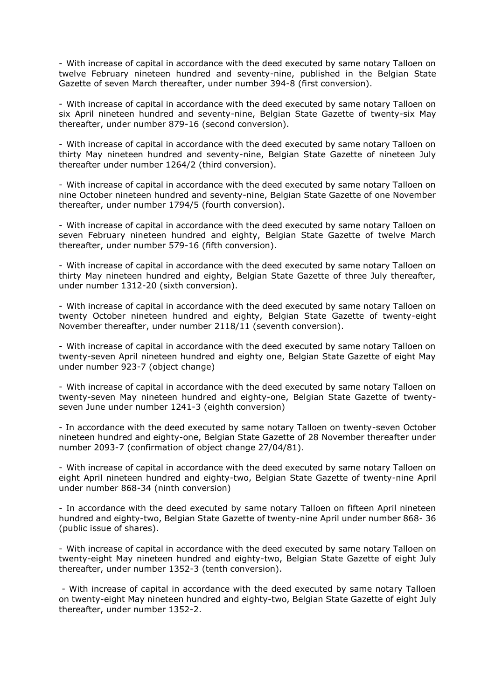- With increase of capital in accordance with the deed executed by same notary Talloen on twelve February nineteen hundred and seventy-nine, published in the Belgian State Gazette of seven March thereafter, under number 394-8 (first conversion).

- With increase of capital in accordance with the deed executed by same notary Talloen on six April nineteen hundred and seventy-nine, Belgian State Gazette of twenty-six May thereafter, under number 879-16 (second conversion).

- With increase of capital in accordance with the deed executed by same notary Talloen on thirty May nineteen hundred and seventy-nine, Belgian State Gazette of nineteen July thereafter under number 1264/2 (third conversion).

- With increase of capital in accordance with the deed executed by same notary Talloen on nine October nineteen hundred and seventy-nine, Belgian State Gazette of one November thereafter, under number 1794/5 (fourth conversion).

- With increase of capital in accordance with the deed executed by same notary Talloen on seven February nineteen hundred and eighty, Belgian State Gazette of twelve March thereafter, under number 579-16 (fifth conversion).

- With increase of capital in accordance with the deed executed by same notary Talloen on thirty May nineteen hundred and eighty, Belgian State Gazette of three July thereafter, under number 1312-20 (sixth conversion).

- With increase of capital in accordance with the deed executed by same notary Talloen on twenty October nineteen hundred and eighty, Belgian State Gazette of twenty-eight November thereafter, under number 2118/11 (seventh conversion).

- With increase of capital in accordance with the deed executed by same notary Talloen on twenty-seven April nineteen hundred and eighty one, Belgian State Gazette of eight May under number 923-7 (object change)

- With increase of capital in accordance with the deed executed by same notary Talloen on twenty-seven May nineteen hundred and eighty-one, Belgian State Gazette of twentyseven June under number 1241-3 (eighth conversion)

- In accordance with the deed executed by same notary Talloen on twenty-seven October nineteen hundred and eighty-one, Belgian State Gazette of 28 November thereafter under number 2093-7 (confirmation of object change 27/04/81).

- With increase of capital in accordance with the deed executed by same notary Talloen on eight April nineteen hundred and eighty-two, Belgian State Gazette of twenty-nine April under number 868-34 (ninth conversion)

- In accordance with the deed executed by same notary Talloen on fifteen April nineteen hundred and eighty-two, Belgian State Gazette of twenty-nine April under number 868- 36 (public issue of shares).

- With increase of capital in accordance with the deed executed by same notary Talloen on twenty-eight May nineteen hundred and eighty-two, Belgian State Gazette of eight July thereafter, under number 1352-3 (tenth conversion).

- With increase of capital in accordance with the deed executed by same notary Talloen on twenty-eight May nineteen hundred and eighty-two, Belgian State Gazette of eight July thereafter, under number 1352-2.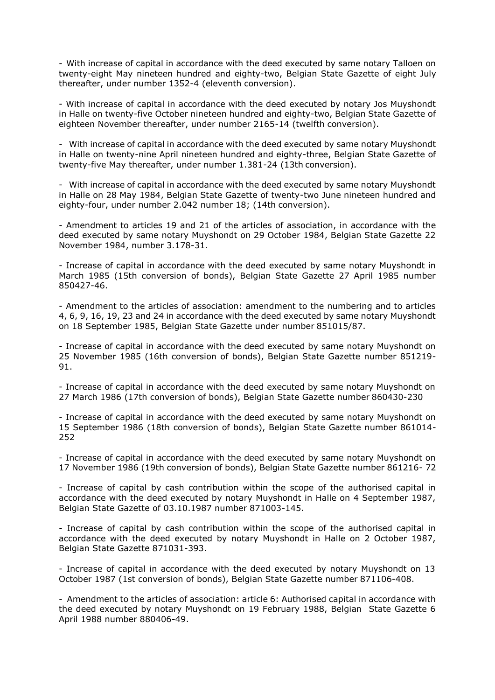- With increase of capital in accordance with the deed executed by same notary Talloen on twenty-eight May nineteen hundred and eighty-two, Belgian State Gazette of eight July thereafter, under number 1352-4 (eleventh conversion).

- With increase of capital in accordance with the deed executed by notary Jos Muyshondt in Halle on twenty-five October nineteen hundred and eighty-two, Belgian State Gazette of eighteen November thereafter, under number 2165-14 (twelfth conversion).

- With increase of capital in accordance with the deed executed by same notary Muyshondt in Halle on twenty-nine April nineteen hundred and eighty-three, Belgian State Gazette of twenty-five May thereafter, under number 1.381-24 (13th conversion).

- With increase of capital in accordance with the deed executed by same notary Muyshondt in Halle on 28 May 1984, Belgian State Gazette of twenty-two June nineteen hundred and eighty-four, under number 2.042 number 18; (14th conversion).

- Amendment to articles 19 and 21 of the articles of association, in accordance with the deed executed by same notary Muyshondt on 29 October 1984, Belgian State Gazette 22 November 1984, number 3.178-31.

- Increase of capital in accordance with the deed executed by same notary Muyshondt in March 1985 (15th conversion of bonds), Belgian State Gazette 27 April 1985 number 850427-46.

- Amendment to the articles of association: amendment to the numbering and to articles 4, 6, 9, 16, 19, 23 and 24 in accordance with the deed executed by same notary Muyshondt on 18 September 1985, Belgian State Gazette under number 851015/87.

- Increase of capital in accordance with the deed executed by same notary Muyshondt on 25 November 1985 (16th conversion of bonds), Belgian State Gazette number 851219- 91.

- Increase of capital in accordance with the deed executed by same notary Muyshondt on 27 March 1986 (17th conversion of bonds), Belgian State Gazette number 860430-230

- Increase of capital in accordance with the deed executed by same notary Muyshondt on 15 September 1986 (18th conversion of bonds), Belgian State Gazette number 861014- 252

- Increase of capital in accordance with the deed executed by same notary Muyshondt on 17 November 1986 (19th conversion of bonds), Belgian State Gazette number 861216- 72

- Increase of capital by cash contribution within the scope of the authorised capital in accordance with the deed executed by notary Muyshondt in Halle on 4 September 1987, Belgian State Gazette of 03.10.1987 number 871003-145.

- Increase of capital by cash contribution within the scope of the authorised capital in accordance with the deed executed by notary Muyshondt in Halle on 2 October 1987, Belgian State Gazette 871031-393.

- Increase of capital in accordance with the deed executed by notary Muyshondt on 13 October 1987 (1st conversion of bonds), Belgian State Gazette number 871106-408.

- Amendment to the articles of association: article 6: Authorised capital in accordance with the deed executed by notary Muyshondt on 19 February 1988, Belgian State Gazette 6 April 1988 number 880406-49.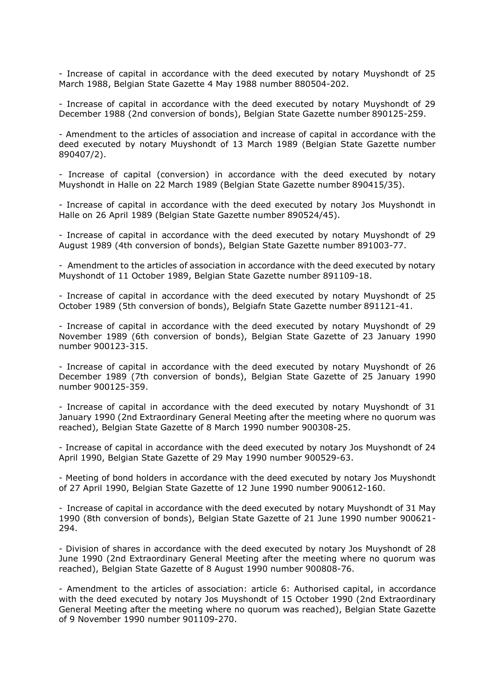- Increase of capital in accordance with the deed executed by notary Muyshondt of 25 March 1988, Belgian State Gazette 4 May 1988 number 880504-202.

- Increase of capital in accordance with the deed executed by notary Muyshondt of 29 December 1988 (2nd conversion of bonds), Belgian State Gazette number 890125-259.

- Amendment to the articles of association and increase of capital in accordance with the deed executed by notary Muyshondt of 13 March 1989 (Belgian State Gazette number 890407/2).

- Increase of capital (conversion) in accordance with the deed executed by notary Muyshondt in Halle on 22 March 1989 (Belgian State Gazette number 890415/35).

- Increase of capital in accordance with the deed executed by notary Jos Muyshondt in Halle on 26 April 1989 (Belgian State Gazette number 890524/45).

- Increase of capital in accordance with the deed executed by notary Muyshondt of 29 August 1989 (4th conversion of bonds), Belgian State Gazette number 891003-77.

- Amendment to the articles of association in accordance with the deed executed by notary Muyshondt of 11 October 1989, Belgian State Gazette number 891109-18.

- Increase of capital in accordance with the deed executed by notary Muyshondt of 25 October 1989 (5th conversion of bonds), Belgiafn State Gazette number 891121-41.

- Increase of capital in accordance with the deed executed by notary Muyshondt of 29 November 1989 (6th conversion of bonds), Belgian State Gazette of 23 January 1990 number 900123-315.

- Increase of capital in accordance with the deed executed by notary Muyshondt of 26 December 1989 (7th conversion of bonds), Belgian State Gazette of 25 January 1990 number 900125-359.

- Increase of capital in accordance with the deed executed by notary Muyshondt of 31 January 1990 (2nd Extraordinary General Meeting after the meeting where no quorum was reached), Belgian State Gazette of 8 March 1990 number 900308-25.

- Increase of capital in accordance with the deed executed by notary Jos Muyshondt of 24 April 1990, Belgian State Gazette of 29 May 1990 number 900529-63.

- Meeting of bond holders in accordance with the deed executed by notary Jos Muyshondt of 27 April 1990, Belgian State Gazette of 12 June 1990 number 900612-160.

- Increase of capital in accordance with the deed executed by notary Muyshondt of 31 May 1990 (8th conversion of bonds), Belgian State Gazette of 21 June 1990 number 900621- 294.

- Division of shares in accordance with the deed executed by notary Jos Muyshondt of 28 June 1990 (2nd Extraordinary General Meeting after the meeting where no quorum was reached), Belgian State Gazette of 8 August 1990 number 900808-76.

- Amendment to the articles of association: article 6: Authorised capital, in accordance with the deed executed by notary Jos Muyshondt of 15 October 1990 (2nd Extraordinary General Meeting after the meeting where no quorum was reached), Belgian State Gazette of 9 November 1990 number 901109-270.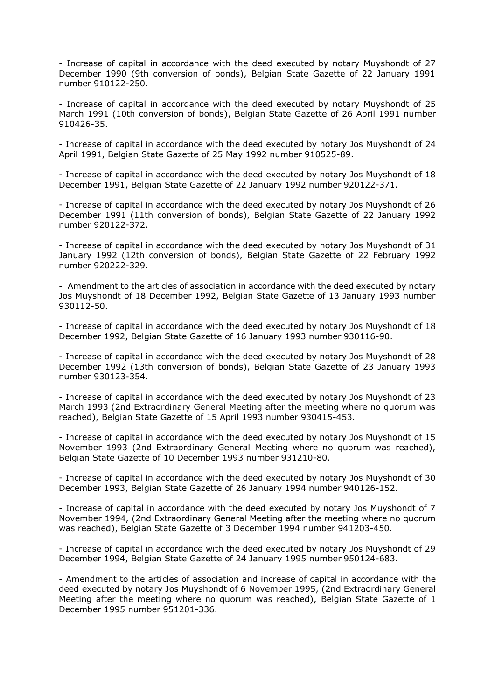- Increase of capital in accordance with the deed executed by notary Muyshondt of 27 December 1990 (9th conversion of bonds), Belgian State Gazette of 22 January 1991 number 910122-250.

- Increase of capital in accordance with the deed executed by notary Muyshondt of 25 March 1991 (10th conversion of bonds), Belgian State Gazette of 26 April 1991 number 910426-35.

- Increase of capital in accordance with the deed executed by notary Jos Muyshondt of 24 April 1991, Belgian State Gazette of 25 May 1992 number 910525-89.

- Increase of capital in accordance with the deed executed by notary Jos Muyshondt of 18 December 1991, Belgian State Gazette of 22 January 1992 number 920122-371.

- Increase of capital in accordance with the deed executed by notary Jos Muyshondt of 26 December 1991 (11th conversion of bonds), Belgian State Gazette of 22 January 1992 number 920122-372.

- Increase of capital in accordance with the deed executed by notary Jos Muyshondt of 31 January 1992 (12th conversion of bonds), Belgian State Gazette of 22 February 1992 number 920222-329.

- Amendment to the articles of association in accordance with the deed executed by notary Jos Muyshondt of 18 December 1992, Belgian State Gazette of 13 January 1993 number 930112-50.

- Increase of capital in accordance with the deed executed by notary Jos Muyshondt of 18 December 1992, Belgian State Gazette of 16 January 1993 number 930116-90.

- Increase of capital in accordance with the deed executed by notary Jos Muyshondt of 28 December 1992 (13th conversion of bonds), Belgian State Gazette of 23 January 1993 number 930123-354.

- Increase of capital in accordance with the deed executed by notary Jos Muyshondt of 23 March 1993 (2nd Extraordinary General Meeting after the meeting where no quorum was reached), Belgian State Gazette of 15 April 1993 number 930415-453.

- Increase of capital in accordance with the deed executed by notary Jos Muyshondt of 15 November 1993 (2nd Extraordinary General Meeting where no quorum was reached), Belgian State Gazette of 10 December 1993 number 931210-80.

- Increase of capital in accordance with the deed executed by notary Jos Muyshondt of 30 December 1993, Belgian State Gazette of 26 January 1994 number 940126-152.

- Increase of capital in accordance with the deed executed by notary Jos Muyshondt of 7 November 1994, (2nd Extraordinary General Meeting after the meeting where no quorum was reached), Belgian State Gazette of 3 December 1994 number 941203-450.

- Increase of capital in accordance with the deed executed by notary Jos Muyshondt of 29 December 1994, Belgian State Gazette of 24 January 1995 number 950124-683.

- Amendment to the articles of association and increase of capital in accordance with the deed executed by notary Jos Muyshondt of 6 November 1995, (2nd Extraordinary General Meeting after the meeting where no quorum was reached), Belgian State Gazette of 1 December 1995 number 951201-336.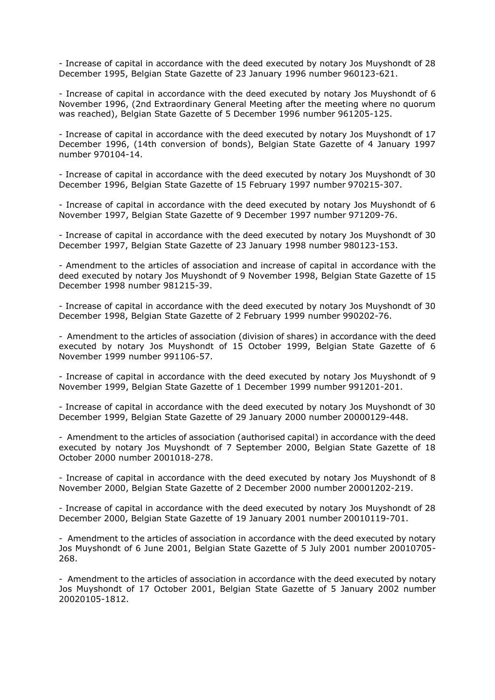- Increase of capital in accordance with the deed executed by notary Jos Muyshondt of 28 December 1995, Belgian State Gazette of 23 January 1996 number 960123-621.

- Increase of capital in accordance with the deed executed by notary Jos Muyshondt of 6 November 1996, (2nd Extraordinary General Meeting after the meeting where no quorum was reached), Belgian State Gazette of 5 December 1996 number 961205-125.

- Increase of capital in accordance with the deed executed by notary Jos Muyshondt of 17 December 1996, (14th conversion of bonds), Belgian State Gazette of 4 January 1997 number 970104-14.

- Increase of capital in accordance with the deed executed by notary Jos Muyshondt of 30 December 1996, Belgian State Gazette of 15 February 1997 number 970215-307.

- Increase of capital in accordance with the deed executed by notary Jos Muyshondt of 6 November 1997, Belgian State Gazette of 9 December 1997 number 971209-76.

- Increase of capital in accordance with the deed executed by notary Jos Muyshondt of 30 December 1997, Belgian State Gazette of 23 January 1998 number 980123-153.

- Amendment to the articles of association and increase of capital in accordance with the deed executed by notary Jos Muyshondt of 9 November 1998, Belgian State Gazette of 15 December 1998 number 981215-39.

- Increase of capital in accordance with the deed executed by notary Jos Muyshondt of 30 December 1998, Belgian State Gazette of 2 February 1999 number 990202-76.

- Amendment to the articles of association (division of shares) in accordance with the deed executed by notary Jos Muyshondt of 15 October 1999, Belgian State Gazette of 6 November 1999 number 991106-57.

- Increase of capital in accordance with the deed executed by notary Jos Muyshondt of 9 November 1999, Belgian State Gazette of 1 December 1999 number 991201-201.

- Increase of capital in accordance with the deed executed by notary Jos Muyshondt of 30 December 1999, Belgian State Gazette of 29 January 2000 number 20000129-448.

- Amendment to the articles of association (authorised capital) in accordance with the deed executed by notary Jos Muyshondt of 7 September 2000, Belgian State Gazette of 18 October 2000 number 2001018-278.

- Increase of capital in accordance with the deed executed by notary Jos Muyshondt of 8 November 2000, Belgian State Gazette of 2 December 2000 number 20001202-219.

- Increase of capital in accordance with the deed executed by notary Jos Muyshondt of 28 December 2000, Belgian State Gazette of 19 January 2001 number 20010119-701.

- Amendment to the articles of association in accordance with the deed executed by notary Jos Muyshondt of 6 June 2001, Belgian State Gazette of 5 July 2001 number 20010705- 268.

- Amendment to the articles of association in accordance with the deed executed by notary Jos Muyshondt of 17 October 2001, Belgian State Gazette of 5 January 2002 number 20020105-1812.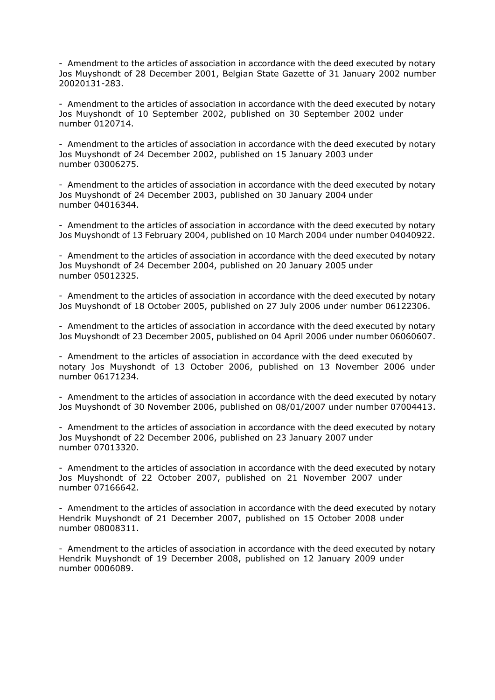- Amendment to the articles of association in accordance with the deed executed by notary Jos Muyshondt of 28 December 2001, Belgian State Gazette of 31 January 2002 number 20020131-283.

- Amendment to the articles of association in accordance with the deed executed by notary Jos Muyshondt of 10 September 2002, published on 30 September 2002 under number 0120714.

- Amendment to the articles of association in accordance with the deed executed by notary Jos Muyshondt of 24 December 2002, published on 15 January 2003 under number 03006275.

- Amendment to the articles of association in accordance with the deed executed by notary Jos Muyshondt of 24 December 2003, published on 30 January 2004 under number 04016344.

- Amendment to the articles of association in accordance with the deed executed by notary Jos Muyshondt of 13 February 2004, published on 10 March 2004 under number 04040922.

- Amendment to the articles of association in accordance with the deed executed by notary Jos Muyshondt of 24 December 2004, published on 20 January 2005 under number 05012325.

- Amendment to the articles of association in accordance with the deed executed by notary Jos Muyshondt of 18 October 2005, published on 27 July 2006 under number 06122306.

- Amendment to the articles of association in accordance with the deed executed by notary Jos Muyshondt of 23 December 2005, published on 04 April 2006 under number 06060607.

- Amendment to the articles of association in accordance with the deed executed by notary Jos Muyshondt of 13 October 2006, published on 13 November 2006 under number 06171234.

- Amendment to the articles of association in accordance with the deed executed by notary Jos Muyshondt of 30 November 2006, published on 08/01/2007 under number 07004413.

- Amendment to the articles of association in accordance with the deed executed by notary Jos Muyshondt of 22 December 2006, published on 23 January 2007 under number 07013320.

- Amendment to the articles of association in accordance with the deed executed by notary Jos Muyshondt of 22 October 2007, published on 21 November 2007 under number 07166642.

- Amendment to the articles of association in accordance with the deed executed by notary Hendrik Muyshondt of 21 December 2007, published on 15 October 2008 under number 08008311.

- Amendment to the articles of association in accordance with the deed executed by notary Hendrik Muyshondt of 19 December 2008, published on 12 January 2009 under number 0006089.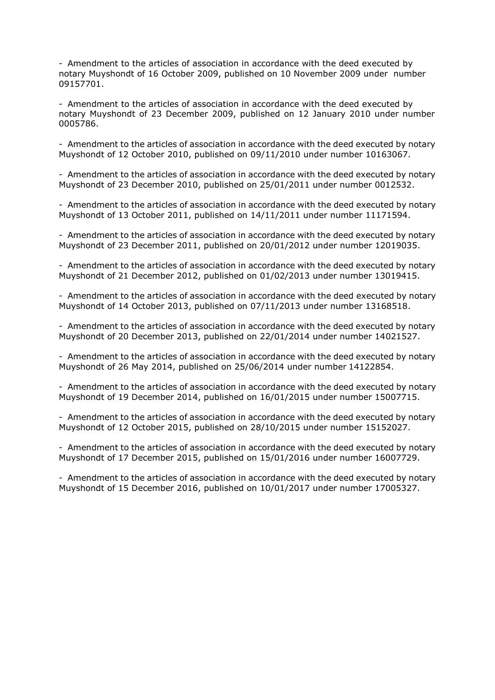- Amendment to the articles of association in accordance with the deed executed by notary Muyshondt of 16 October 2009, published on 10 November 2009 under number 09157701.

- Amendment to the articles of association in accordance with the deed executed by notary Muyshondt of 23 December 2009, published on 12 January 2010 under number 0005786.

- Amendment to the articles of association in accordance with the deed executed by notary Muyshondt of 12 October 2010, published on 09/11/2010 under number 10163067.

- Amendment to the articles of association in accordance with the deed executed by notary Muyshondt of 23 December 2010, published on 25/01/2011 under number 0012532.

- Amendment to the articles of association in accordance with the deed executed by notary Muyshondt of 13 October 2011, published on 14/11/2011 under number 11171594.

- Amendment to the articles of association in accordance with the deed executed by notary Muyshondt of 23 December 2011, published on 20/01/2012 under number 12019035.

- Amendment to the articles of association in accordance with the deed executed by notary Muyshondt of 21 December 2012, published on 01/02/2013 under number 13019415.

- Amendment to the articles of association in accordance with the deed executed by notary Muyshondt of 14 October 2013, published on 07/11/2013 under number 13168518.

- Amendment to the articles of association in accordance with the deed executed by notary Muyshondt of 20 December 2013, published on 22/01/2014 under number 14021527.

- Amendment to the articles of association in accordance with the deed executed by notary Muyshondt of 26 May 2014, published on 25/06/2014 under number 14122854.

- Amendment to the articles of association in accordance with the deed executed by notary Muyshondt of 19 December 2014, published on 16/01/2015 under number 15007715.

- Amendment to the articles of association in accordance with the deed executed by notary Muyshondt of 12 October 2015, published on 28/10/2015 under number 15152027.

- Amendment to the articles of association in accordance with the deed executed by notary Muyshondt of 17 December 2015, published on 15/01/2016 under number 16007729.

- Amendment to the articles of association in accordance with the deed executed by notary Muyshondt of 15 December 2016, published on 10/01/2017 under number 17005327.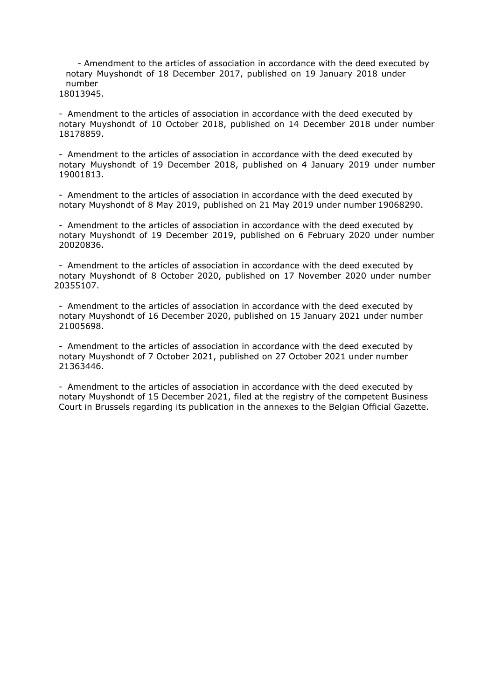- Amendment to the articles of association in accordance with the deed executed by notary Muyshondt of 18 December 2017, published on 19 January 2018 under number 18013945.

- Amendment to the articles of association in accordance with the deed executed by notary Muyshondt of 10 October 2018, published on 14 December 2018 under number 18178859.

- Amendment to the articles of association in accordance with the deed executed by notary Muyshondt of 19 December 2018, published on 4 January 2019 under number 19001813.

- Amendment to the articles of association in accordance with the deed executed by notary Muyshondt of 8 May 2019, published on 21 May 2019 under number 19068290.

- Amendment to the articles of association in accordance with the deed executed by notary Muyshondt of 19 December 2019, published on 6 February 2020 under number 20020836.

- Amendment to the articles of association in accordance with the deed executed by notary Muyshondt of 8 October 2020, published on 17 November 2020 under number 20355107.

- Amendment to the articles of association in accordance with the deed executed by notary Muyshondt of 16 December 2020, published on 15 January 2021 under number 21005698.

- Amendment to the articles of association in accordance with the deed executed by notary Muyshondt of 7 October 2021, published on 27 October 2021 under number 21363446.

- Amendment to the articles of association in accordance with the deed executed by notary Muyshondt of 15 December 2021, filed at the registry of the competent Business Court in Brussels regarding its publication in the annexes to the Belgian Official Gazette.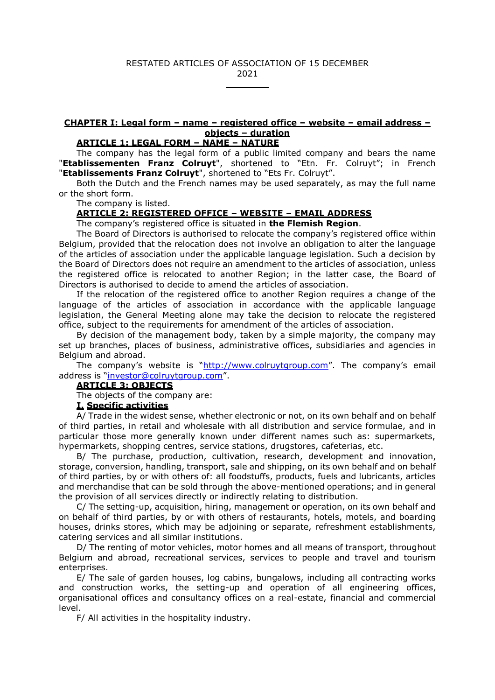# **CHAPTER I: Legal form – name – registered office – website – email address – objects – duration**

# **ARTICLE 1: LEGAL FORM – NAME – NATURE**

The company has the legal form of a public limited company and bears the name "**Etablissementen Franz Colruyt**", shortened to "Etn. Fr. Colruyt"; in French "**Etablissements Franz Colruyt**", shortened to "Ets Fr. Colruyt".

Both the Dutch and the French names may be used separately, as may the full name or the short form.

The company is listed.

# **ARTICLE 2: REGISTERED OFFICE – WEBSITE – EMAIL ADDRESS**

The company's registered office is situated in **the Flemish Region**.

The Board of Directors is authorised to relocate the company's registered office within Belgium, provided that the relocation does not involve an obligation to alter the language of the articles of association under the applicable language legislation. Such a decision by the Board of Directors does not require an amendment to the articles of association, unless the registered office is relocated to another Region; in the latter case, the Board of Directors is authorised to decide to amend the articles of association.

If the relocation of the registered office to another Region requires a change of the language of the articles of association in accordance with the applicable language legislation, the General Meeting alone may take the decision to relocate the registered office, subject to the requirements for amendment of the articles of association.

By decision of the management body, taken by a simple majority, the company may set up branches, places of business, administrative offices, subsidiaries and agencies in Belgium and abroad.

The company's website is "[http://www.colruytgroup.com](http://www.colruytgroup.com/)". The company's email address is "[investor@colruytgroup.com](mailto:investor@colruytgroup.com)".

# **ARTICLE 3: OBJECTS**

The objects of the company are:

### **I. Specific activities**

A/ Trade in the widest sense, whether electronic or not, on its own behalf and on behalf of third parties, in retail and wholesale with all distribution and service formulae, and in particular those more generally known under different names such as: supermarkets, hypermarkets, shopping centres, service stations, drugstores, cafeterias, etc.

B/ The purchase, production, cultivation, research, development and innovation, storage, conversion, handling, transport, sale and shipping, on its own behalf and on behalf of third parties, by or with others of: all foodstuffs, products, fuels and lubricants, articles and merchandise that can be sold through the above-mentioned operations; and in general the provision of all services directly or indirectly relating to distribution.

C/ The setting-up, acquisition, hiring, management or operation, on its own behalf and on behalf of third parties, by or with others of restaurants, hotels, motels, and boarding houses, drinks stores, which may be adjoining or separate, refreshment establishments, catering services and all similar institutions.

D/ The renting of motor vehicles, motor homes and all means of transport, throughout Belgium and abroad, recreational services, services to people and travel and tourism enterprises.

E/ The sale of garden houses, log cabins, bungalows, including all contracting works and construction works, the setting-up and operation of all engineering offices, organisational offices and consultancy offices on a real-estate, financial and commercial level.

F/ All activities in the hospitality industry.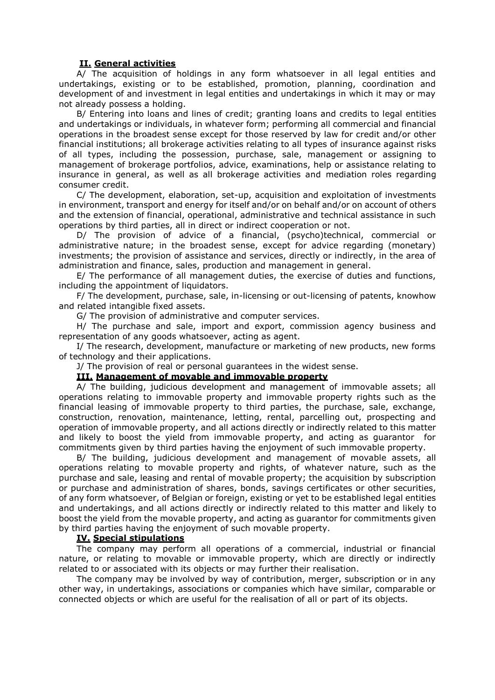# **II. General activities**

A/ The acquisition of holdings in any form whatsoever in all legal entities and undertakings, existing or to be established, promotion, planning, coordination and development of and investment in legal entities and undertakings in which it may or may not already possess a holding.

B/ Entering into loans and lines of credit; granting loans and credits to legal entities and undertakings or individuals, in whatever form; performing all commercial and financial operations in the broadest sense except for those reserved by law for credit and/or other financial institutions; all brokerage activities relating to all types of insurance against risks of all types, including the possession, purchase, sale, management or assigning to management of brokerage portfolios, advice, examinations, help or assistance relating to insurance in general, as well as all brokerage activities and mediation roles regarding consumer credit.

C/ The development, elaboration, set-up, acquisition and exploitation of investments in environment, transport and energy for itself and/or on behalf and/or on account of others and the extension of financial, operational, administrative and technical assistance in such operations by third parties, all in direct or indirect cooperation or not.

D/ The provision of advice of a financial, (psycho)technical, commercial or administrative nature; in the broadest sense, except for advice regarding (monetary) investments; the provision of assistance and services, directly or indirectly, in the area of administration and finance, sales, production and management in general.

E/ The performance of all management duties, the exercise of duties and functions, including the appointment of liquidators.

F/ The development, purchase, sale, in-licensing or out-licensing of patents, knowhow and related intangible fixed assets.

G/ The provision of administrative and computer services.

H/ The purchase and sale, import and export, commission agency business and representation of any goods whatsoever, acting as agent.

I/ The research, development, manufacture or marketing of new products, new forms of technology and their applications.

J/ The provision of real or personal guarantees in the widest sense.

# **III. Management of movable and immovable property**

A/ The building, judicious development and management of immovable assets; all operations relating to immovable property and immovable property rights such as the financial leasing of immovable property to third parties, the purchase, sale, exchange, construction, renovation, maintenance, letting, rental, parcelling out, prospecting and operation of immovable property, and all actions directly or indirectly related to this matter and likely to boost the yield from immovable property, and acting as guarantor for commitments given by third parties having the enjoyment of such immovable property.

B/ The building, judicious development and management of movable assets, all operations relating to movable property and rights, of whatever nature, such as the purchase and sale, leasing and rental of movable property; the acquisition by subscription or purchase and administration of shares, bonds, savings certificates or other securities, of any form whatsoever, of Belgian or foreign, existing or yet to be established legal entities and undertakings, and all actions directly or indirectly related to this matter and likely to boost the yield from the movable property, and acting as guarantor for commitments given by third parties having the enjoyment of such movable property.

### **IV. Special stipulations**

The company may perform all operations of a commercial, industrial or financial nature, or relating to movable or immovable property, which are directly or indirectly related to or associated with its objects or may further their realisation.

The company may be involved by way of contribution, merger, subscription or in any other way, in undertakings, associations or companies which have similar, comparable or connected objects or which are useful for the realisation of all or part of its objects.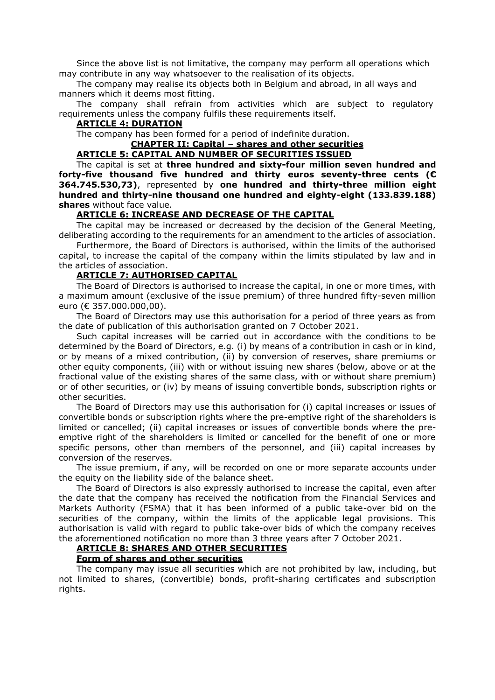Since the above list is not limitative, the company may perform all operations which may contribute in any way whatsoever to the realisation of its objects.

The company may realise its objects both in Belgium and abroad, in all ways and manners which it deems most fitting.

The company shall refrain from activities which are subject to regulatory requirements unless the company fulfils these requirements itself.

## **ARTICLE 4: DURATION**

The company has been formed for a period of indefinite duration.

# **CHAPTER II: Capital – shares and other securities**

**ARTICLE 5: CAPITAL AND NUMBER OF SECURITIES ISSUED** The capital is set at **three hundred and sixty-four million seven hundred and forty-five thousand five hundred and thirty euros seventy-three cents (€ 364.745.530,73)**, represented by **one hundred and thirty-three million eight hundred and thirty-nine thousand one hundred and eighty-eight (133.839.188)**

**shares** without face value.

### **ARTICLE 6: INCREASE AND DECREASE OF THE CAPITAL**

The capital may be increased or decreased by the decision of the General Meeting, deliberating according to the requirements for an amendment to the articles of association.

Furthermore, the Board of Directors is authorised, within the limits of the authorised capital, to increase the capital of the company within the limits stipulated by law and in the articles of association.

### **ARTICLE 7: AUTHORISED CAPITAL**

The Board of Directors is authorised to increase the capital, in one or more times, with a maximum amount (exclusive of the issue premium) of three hundred fifty-seven million euro (€ 357.000.000,00).

The Board of Directors may use this authorisation for a period of three years as from the date of publication of this authorisation granted on 7 October 2021.

Such capital increases will be carried out in accordance with the conditions to be determined by the Board of Directors, e.g. (i) by means of a contribution in cash or in kind, or by means of a mixed contribution, (ii) by conversion of reserves, share premiums or other equity components, (iii) with or without issuing new shares (below, above or at the fractional value of the existing shares of the same class, with or without share premium) or of other securities, or (iv) by means of issuing convertible bonds, subscription rights or other securities.

The Board of Directors may use this authorisation for (i) capital increases or issues of convertible bonds or subscription rights where the pre-emptive right of the shareholders is limited or cancelled; (ii) capital increases or issues of convertible bonds where the preemptive right of the shareholders is limited or cancelled for the benefit of one or more specific persons, other than members of the personnel, and (iii) capital increases by conversion of the reserves.

The issue premium, if any, will be recorded on one or more separate accounts under the equity on the liability side of the balance sheet.

The Board of Directors is also expressly authorised to increase the capital, even after the date that the company has received the notification from the Financial Services and Markets Authority (FSMA) that it has been informed of a public take-over bid on the securities of the company, within the limits of the applicable legal provisions. This authorisation is valid with regard to public take-over bids of which the company receives the aforementioned notification no more than 3 three years after 7 October 2021.

### **ARTICLE 8: SHARES AND OTHER SECURITIES**

# **Form of shares and other securities**

The company may issue all securities which are not prohibited by law, including, but not limited to shares, (convertible) bonds, profit-sharing certificates and subscription rights.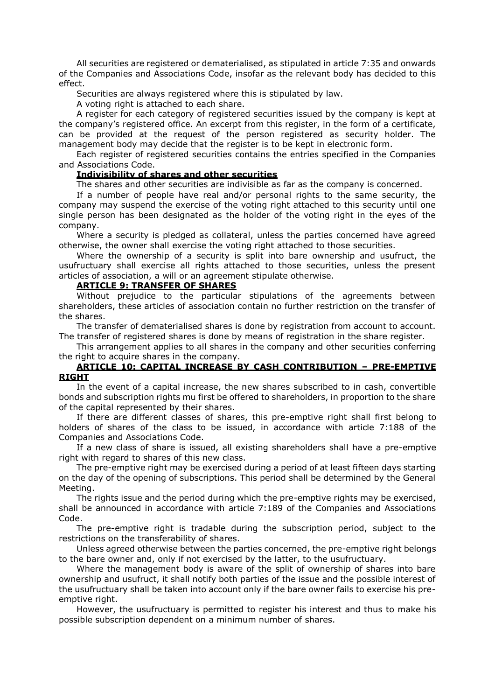All securities are registered or dematerialised, as stipulated in article 7:35 and onwards of the Companies and Associations Code, insofar as the relevant body has decided to this effect.

Securities are always registered where this is stipulated by law.

A voting right is attached to each share.

A register for each category of registered securities issued by the company is kept at the company's registered office. An excerpt from this register, in the form of a certificate, can be provided at the request of the person registered as security holder. The management body may decide that the register is to be kept in electronic form.

Each register of registered securities contains the entries specified in the Companies and Associations Code.

### **Indivisibility of shares and other securities**

The shares and other securities are indivisible as far as the company is concerned.

If a number of people have real and/or personal rights to the same security, the company may suspend the exercise of the voting right attached to this security until one single person has been designated as the holder of the voting right in the eyes of the company.

Where a security is pledged as collateral, unless the parties concerned have agreed otherwise, the owner shall exercise the voting right attached to those securities.

Where the ownership of a security is split into bare ownership and usufruct, the usufructuary shall exercise all rights attached to those securities, unless the present articles of association, a will or an agreement stipulate otherwise.

# **ARTICLE 9: TRANSFER OF SHARES**

Without prejudice to the particular stipulations of the agreements between shareholders, these articles of association contain no further restriction on the transfer of the shares.

The transfer of dematerialised shares is done by registration from account to account. The transfer of registered shares is done by means of registration in the share register.

This arrangement applies to all shares in the company and other securities conferring the right to acquire shares in the company.

### **ARTICLE 10: CAPITAL INCREASE BY CASH CONTRIBUTION – PRE-EMPTIVE RIGHT**

In the event of a capital increase, the new shares subscribed to in cash, convertible bonds and subscription rights mu first be offered to shareholders, in proportion to the share of the capital represented by their shares.

If there are different classes of shares, this pre-emptive right shall first belong to holders of shares of the class to be issued, in accordance with article 7:188 of the Companies and Associations Code.

If a new class of share is issued, all existing shareholders shall have a pre-emptive right with regard to shares of this new class.

The pre-emptive right may be exercised during a period of at least fifteen days starting on the day of the opening of subscriptions. This period shall be determined by the General Meeting.

The rights issue and the period during which the pre-emptive rights may be exercised, shall be announced in accordance with article 7:189 of the Companies and Associations Code.

The pre-emptive right is tradable during the subscription period, subject to the restrictions on the transferability of shares.

Unless agreed otherwise between the parties concerned, the pre-emptive right belongs to the bare owner and, only if not exercised by the latter, to the usufructuary.

Where the management body is aware of the split of ownership of shares into bare ownership and usufruct, it shall notify both parties of the issue and the possible interest of the usufructuary shall be taken into account only if the bare owner fails to exercise his preemptive right.

However, the usufructuary is permitted to register his interest and thus to make his possible subscription dependent on a minimum number of shares.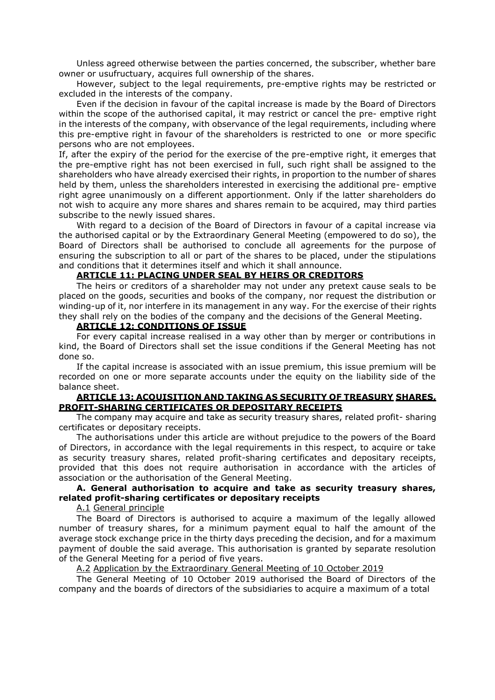Unless agreed otherwise between the parties concerned, the subscriber, whether bare owner or usufructuary, acquires full ownership of the shares.

However, subject to the legal requirements, pre-emptive rights may be restricted or excluded in the interests of the company.

Even if the decision in favour of the capital increase is made by the Board of Directors within the scope of the authorised capital, it may restrict or cancel the pre- emptive right in the interests of the company, with observance of the legal requirements, including where this pre-emptive right in favour of the shareholders is restricted to one or more specific persons who are not employees.

If, after the expiry of the period for the exercise of the pre-emptive right, it emerges that the pre-emptive right has not been exercised in full, such right shall be assigned to the shareholders who have already exercised their rights, in proportion to the number of shares held by them, unless the shareholders interested in exercising the additional pre- emptive right agree unanimously on a different apportionment. Only if the latter shareholders do not wish to acquire any more shares and shares remain to be acquired, may third parties subscribe to the newly issued shares.

With regard to a decision of the Board of Directors in favour of a capital increase via the authorised capital or by the Extraordinary General Meeting (empowered to do so), the Board of Directors shall be authorised to conclude all agreements for the purpose of ensuring the subscription to all or part of the shares to be placed, under the stipulations and conditions that it determines itself and which it shall announce.

### **ARTICLE 11: PLACING UNDER SEAL BY HEIRS OR CREDITORS**

The heirs or creditors of a shareholder may not under any pretext cause seals to be placed on the goods, securities and books of the company, nor request the distribution or winding-up of it, nor interfere in its management in any way. For the exercise of their rights they shall rely on the bodies of the company and the decisions of the General Meeting.

### **ARTICLE 12: CONDITIONS OF ISSUE**

For every capital increase realised in a way other than by merger or contributions in kind, the Board of Directors shall set the issue conditions if the General Meeting has not done so.

If the capital increase is associated with an issue premium, this issue premium will be recorded on one or more separate accounts under the equity on the liability side of the balance sheet.

#### **ARTICLE 13: ACQUISITION AND TAKING AS SECURITY OF TREASURY SHARES, PROFIT-SHARING CERTIFICATES OR DEPOSITARY RECEIPTS**

The company may acquire and take as security treasury shares, related profit- sharing certificates or depositary receipts.

The authorisations under this article are without prejudice to the powers of the Board of Directors, in accordance with the legal requirements in this respect, to acquire or take as security treasury shares, related profit-sharing certificates and depositary receipts, provided that this does not require authorisation in accordance with the articles of association or the authorisation of the General Meeting.

## **A. General authorisation to acquire and take as security treasury shares, related profit-sharing certificates or depositary receipts**

A.1 General principle

The Board of Directors is authorised to acquire a maximum of the legally allowed number of treasury shares, for a minimum payment equal to half the amount of the average stock exchange price in the thirty days preceding the decision, and for a maximum payment of double the said average. This authorisation is granted by separate resolution of the General Meeting for a period of five years.

A.2 Application by the Extraordinary General Meeting of 10 October 2019

The General Meeting of 10 October 2019 authorised the Board of Directors of the company and the boards of directors of the subsidiaries to acquire a maximum of a total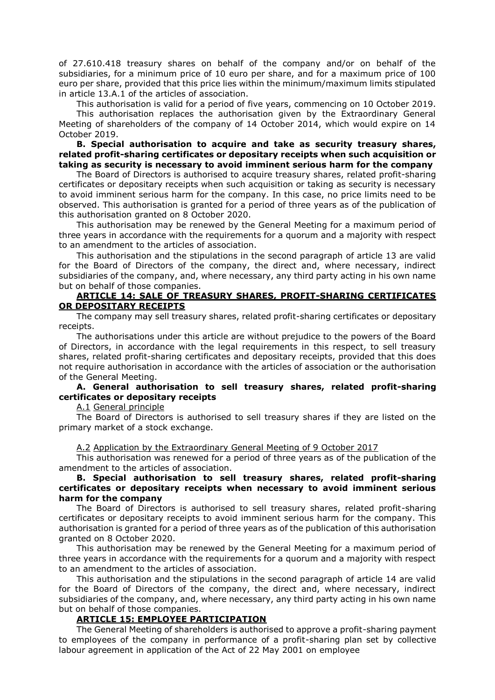of 27.610.418 treasury shares on behalf of the company and/or on behalf of the subsidiaries, for a minimum price of 10 euro per share, and for a maximum price of 100 euro per share, provided that this price lies within the minimum/maximum limits stipulated in article 13.A.1 of the articles of association.

This authorisation is valid for a period of five years, commencing on 10 October 2019.

This authorisation replaces the authorisation given by the Extraordinary General Meeting of shareholders of the company of 14 October 2014, which would expire on 14 October 2019.

**B. Special authorisation to acquire and take as security treasury shares, related profit-sharing certificates or depositary receipts when such acquisition or taking as security is necessary to avoid imminent serious harm for the company**

The Board of Directors is authorised to acquire treasury shares, related profit-sharing certificates or depositary receipts when such acquisition or taking as security is necessary to avoid imminent serious harm for the company. In this case, no price limits need to be observed. This authorisation is granted for a period of three years as of the publication of this authorisation granted on 8 October 2020.

This authorisation may be renewed by the General Meeting for a maximum period of three years in accordance with the requirements for a quorum and a majority with respect to an amendment to the articles of association.

This authorisation and the stipulations in the second paragraph of article 13 are valid for the Board of Directors of the company, the direct and, where necessary, indirect subsidiaries of the company, and, where necessary, any third party acting in his own name but on behalf of those companies.

### **ARTICLE 14: SALE OF TREASURY SHARES, PROFIT-SHARING CERTIFICATES OR DEPOSITARY RECEIPTS**

The company may sell treasury shares, related profit-sharing certificates or depositary receipts.

The authorisations under this article are without prejudice to the powers of the Board of Directors, in accordance with the legal requirements in this respect, to sell treasury shares, related profit-sharing certificates and depositary receipts, provided that this does not require authorisation in accordance with the articles of association or the authorisation of the General Meeting.

### **A. General authorisation to sell treasury shares, related profit-sharing certificates or depositary receipts**

A.1 General principle

The Board of Directors is authorised to sell treasury shares if they are listed on the primary market of a stock exchange.

A.2 Application by the Extraordinary General Meeting of 9 October 2017

This authorisation was renewed for a period of three years as of the publication of the amendment to the articles of association.

### **B. Special authorisation to sell treasury shares, related profit-sharing certificates or depositary receipts when necessary to avoid imminent serious harm for the company**

The Board of Directors is authorised to sell treasury shares, related profit-sharing certificates or depositary receipts to avoid imminent serious harm for the company. This authorisation is granted for a period of three years as of the publication of this authorisation granted on 8 October 2020.

This authorisation may be renewed by the General Meeting for a maximum period of three years in accordance with the requirements for a quorum and a majority with respect to an amendment to the articles of association.

This authorisation and the stipulations in the second paragraph of article 14 are valid for the Board of Directors of the company, the direct and, where necessary, indirect subsidiaries of the company, and, where necessary, any third party acting in his own name but on behalf of those companies.

## **ARTICLE 15: EMPLOYEE PARTICIPATION**

The General Meeting of shareholders is authorised to approve a profit-sharing payment to employees of the company in performance of a profit-sharing plan set by collective labour agreement in application of the Act of 22 May 2001 on employee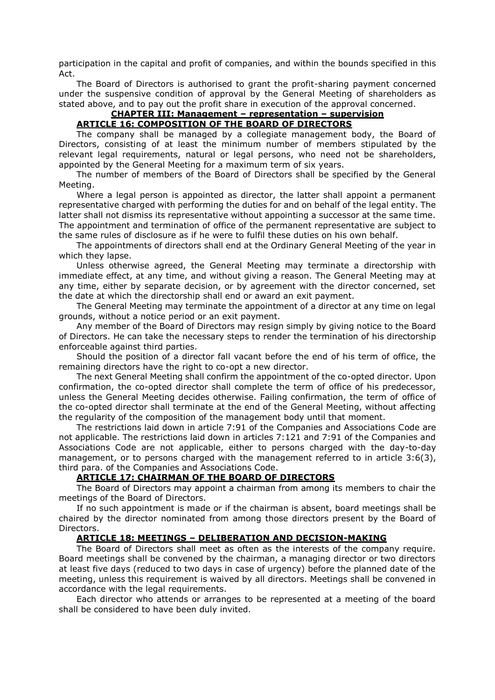participation in the capital and profit of companies, and within the bounds specified in this Act.

The Board of Directors is authorised to grant the profit-sharing payment concerned under the suspensive condition of approval by the General Meeting of shareholders as stated above, and to pay out the profit share in execution of the approval concerned.

# **CHAPTER III: Management – representation – supervision**

# **ARTICLE 16: COMPOSITION OF THE BOARD OF DIRECTORS**

The company shall be managed by a collegiate management body, the Board of Directors, consisting of at least the minimum number of members stipulated by the relevant legal requirements, natural or legal persons, who need not be shareholders, appointed by the General Meeting for a maximum term of six years.

The number of members of the Board of Directors shall be specified by the General Meeting.

Where a legal person is appointed as director, the latter shall appoint a permanent representative charged with performing the duties for and on behalf of the legal entity. The latter shall not dismiss its representative without appointing a successor at the same time. The appointment and termination of office of the permanent representative are subject to the same rules of disclosure as if he were to fulfil these duties on his own behalf.

The appointments of directors shall end at the Ordinary General Meeting of the year in which they lapse.

Unless otherwise agreed, the General Meeting may terminate a directorship with immediate effect, at any time, and without giving a reason. The General Meeting may at any time, either by separate decision, or by agreement with the director concerned, set the date at which the directorship shall end or award an exit payment.

The General Meeting may terminate the appointment of a director at any time on legal grounds, without a notice period or an exit payment.

Any member of the Board of Directors may resign simply by giving notice to the Board of Directors. He can take the necessary steps to render the termination of his directorship enforceable against third parties.

Should the position of a director fall vacant before the end of his term of office, the remaining directors have the right to co-opt a new director.

The next General Meeting shall confirm the appointment of the co-opted director. Upon confirmation, the co-opted director shall complete the term of office of his predecessor, unless the General Meeting decides otherwise. Failing confirmation, the term of office of the co-opted director shall terminate at the end of the General Meeting, without affecting the regularity of the composition of the management body until that moment.

The restrictions laid down in article 7:91 of the Companies and Associations Code are not applicable. The restrictions laid down in articles 7:121 and 7:91 of the Companies and Associations Code are not applicable, either to persons charged with the day-to-day management, or to persons charged with the management referred to in article 3:6(3), third para. of the Companies and Associations Code.

# **ARTICLE 17: CHAIRMAN OF THE BOARD OF DIRECTORS**

The Board of Directors may appoint a chairman from among its members to chair the meetings of the Board of Directors.

If no such appointment is made or if the chairman is absent, board meetings shall be chaired by the director nominated from among those directors present by the Board of Directors.

### **ARTICLE 18: MEETINGS – DELIBERATION AND DECISION-MAKING**

The Board of Directors shall meet as often as the interests of the company require. Board meetings shall be convened by the chairman, a managing director or two directors at least five days (reduced to two days in case of urgency) before the planned date of the meeting, unless this requirement is waived by all directors. Meetings shall be convened in accordance with the legal requirements.

Each director who attends or arranges to be represented at a meeting of the board shall be considered to have been duly invited.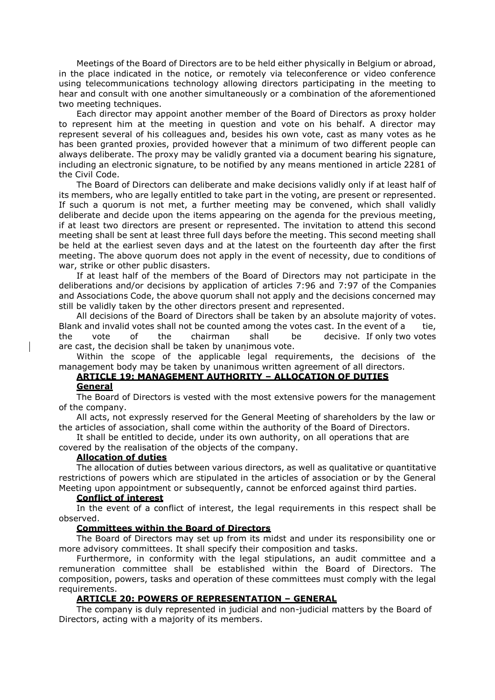Meetings of the Board of Directors are to be held either physically in Belgium or abroad, in the place indicated in the notice, or remotely via teleconference or video conference using telecommunications technology allowing directors participating in the meeting to hear and consult with one another simultaneously or a combination of the aforementioned two meeting techniques.

Each director may appoint another member of the Board of Directors as proxy holder to represent him at the meeting in question and vote on his behalf. A director may represent several of his colleagues and, besides his own vote, cast as many votes as he has been granted proxies, provided however that a minimum of two different people can always deliberate. The proxy may be validly granted via a document bearing his signature, including an electronic signature, to be notified by any means mentioned in article 2281 of the Civil Code.

The Board of Directors can deliberate and make decisions validly only if at least half of its members, who are legally entitled to take part in the voting, are present or represented. If such a quorum is not met, a further meeting may be convened, which shall validly deliberate and decide upon the items appearing on the agenda for the previous meeting, if at least two directors are present or represented. The invitation to attend this second meeting shall be sent at least three full days before the meeting. This second meeting shall be held at the earliest seven days and at the latest on the fourteenth day after the first meeting. The above quorum does not apply in the event of necessity, due to conditions of war, strike or other public disasters.

If at least half of the members of the Board of Directors may not participate in the deliberations and/or decisions by application of articles 7:96 and 7:97 of the Companies and Associations Code, the above quorum shall not apply and the decisions concerned may still be validly taken by the other directors present and represented.

All decisions of the Board of Directors shall be taken by an absolute majority of votes. Blank and invalid votes shall not be counted among the votes cast. In the event of a tie, the vote of the chairman shall be decisive. If only two votes are cast, the decision shall be taken by unanimous vote.

Within the scope of the applicable legal requirements, the decisions of the management body may be taken by unanimous written agreement of all directors.

# **ARTICLE 19: MANAGEMENT AUTHORITY – ALLOCATION OF DUTIES**

### **General**

The Board of Directors is vested with the most extensive powers for the management of the company.

All acts, not expressly reserved for the General Meeting of shareholders by the law or the articles of association, shall come within the authority of the Board of Directors.

It shall be entitled to decide, under its own authority, on all operations that are covered by the realisation of the objects of the company.

### **Allocation of duties**

The allocation of duties between various directors, as well as qualitative or quantitative restrictions of powers which are stipulated in the articles of association or by the General Meeting upon appointment or subsequently, cannot be enforced against third parties.

### **Conflict of interest**

In the event of a conflict of interest, the legal requirements in this respect shall be observed.

## **Committees within the Board of Directors**

The Board of Directors may set up from its midst and under its responsibility one or more advisory committees. It shall specify their composition and tasks.

Furthermore, in conformity with the legal stipulations, an audit committee and a remuneration committee shall be established within the Board of Directors. The composition, powers, tasks and operation of these committees must comply with the legal requirements.

## **ARTICLE 20: POWERS OF REPRESENTATION – GENERAL**

The company is duly represented in judicial and non-judicial matters by the Board of Directors, acting with a majority of its members.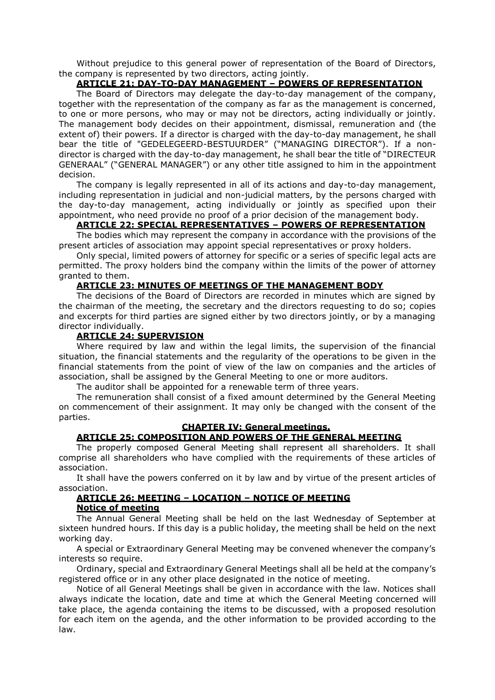Without prejudice to this general power of representation of the Board of Directors, the company is represented by two directors, acting jointly.

# **ARTICLE 21: DAY-TO-DAY MANAGEMENT – POWERS OF REPRESENTATION**

The Board of Directors may delegate the day-to-day management of the company, together with the representation of the company as far as the management is concerned, to one or more persons, who may or may not be directors, acting individually or jointly. The management body decides on their appointment, dismissal, remuneration and (the extent of) their powers. If a director is charged with the day-to-day management, he shall bear the title of "GEDELEGEERD-BESTUURDER" ("MANAGING DIRECTOR"). If a nondirector is charged with the day-to-day management, he shall bear the title of "DIRECTEUR GENERAAL" ("GENERAL MANAGER") or any other title assigned to him in the appointment decision.

The company is legally represented in all of its actions and day-to-day management, including representation in judicial and non-judicial matters, by the persons charged with the day-to-day management, acting individually or jointly as specified upon their appointment, who need provide no proof of a prior decision of the management body.

# **ARTICLE 22: SPECIAL REPRESENTATIVES – POWERS OF REPRESENTATION**

The bodies which may represent the company in accordance with the provisions of the present articles of association may appoint special representatives or proxy holders.

Only special, limited powers of attorney for specific or a series of specific legal acts are permitted. The proxy holders bind the company within the limits of the power of attorney granted to them.

### **ARTICLE 23: MINUTES OF MEETINGS OF THE MANAGEMENT BODY**

The decisions of the Board of Directors are recorded in minutes which are signed by the chairman of the meeting, the secretary and the directors requesting to do so; copies and excerpts for third parties are signed either by two directors jointly, or by a managing director individually.

### **ARTICLE 24: SUPERVISION**

Where required by law and within the legal limits, the supervision of the financial situation, the financial statements and the regularity of the operations to be given in the financial statements from the point of view of the law on companies and the articles of association, shall be assigned by the General Meeting to one or more auditors.

The auditor shall be appointed for a renewable term of three years.

The remuneration shall consist of a fixed amount determined by the General Meeting on commencement of their assignment. It may only be changed with the consent of the parties.

# **CHAPTER IV: General meetings.**

# **ARTICLE 25: COMPOSITION AND POWERS OF THE GENERAL MEETING**

The properly composed General Meeting shall represent all shareholders. It shall comprise all shareholders who have complied with the requirements of these articles of association.

It shall have the powers conferred on it by law and by virtue of the present articles of association.

#### **ARTICLE 26: MEETING – LOCATION – NOTICE OF MEETING Notice of meeting**

The Annual General Meeting shall be held on the last Wednesday of September at sixteen hundred hours. If this day is a public holiday, the meeting shall be held on the next working day.

A special or Extraordinary General Meeting may be convened whenever the company's interests so require.

Ordinary, special and Extraordinary General Meetings shall all be held at the company's registered office or in any other place designated in the notice of meeting.

Notice of all General Meetings shall be given in accordance with the law. Notices shall always indicate the location, date and time at which the General Meeting concerned will take place, the agenda containing the items to be discussed, with a proposed resolution for each item on the agenda, and the other information to be provided according to the law.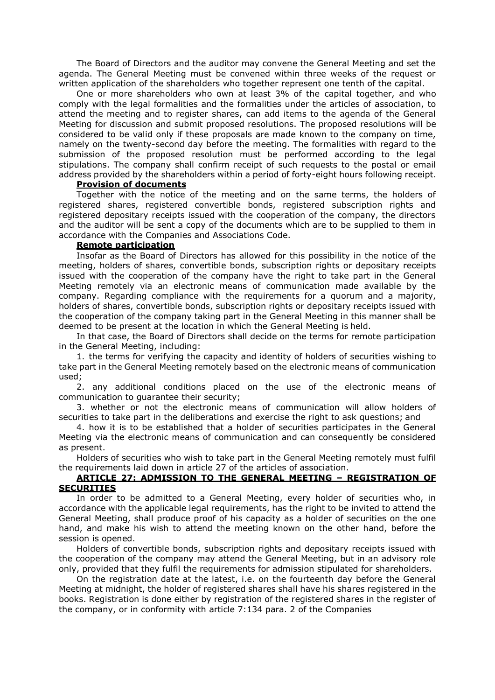The Board of Directors and the auditor may convene the General Meeting and set the agenda. The General Meeting must be convened within three weeks of the request or written application of the shareholders who together represent one tenth of the capital.

One or more shareholders who own at least 3% of the capital together, and who comply with the legal formalities and the formalities under the articles of association, to attend the meeting and to register shares, can add items to the agenda of the General Meeting for discussion and submit proposed resolutions. The proposed resolutions will be considered to be valid only if these proposals are made known to the company on time, namely on the twenty-second day before the meeting. The formalities with regard to the submission of the proposed resolution must be performed according to the legal stipulations. The company shall confirm receipt of such requests to the postal or email address provided by the shareholders within a period of forty-eight hours following receipt.

# **Provision of documents**

Together with the notice of the meeting and on the same terms, the holders of registered shares, registered convertible bonds, registered subscription rights and registered depositary receipts issued with the cooperation of the company, the directors and the auditor will be sent a copy of the documents which are to be supplied to them in accordance with the Companies and Associations Code.

# **Remote participation**

Insofar as the Board of Directors has allowed for this possibility in the notice of the meeting, holders of shares, convertible bonds, subscription rights or depositary receipts issued with the cooperation of the company have the right to take part in the General Meeting remotely via an electronic means of communication made available by the company. Regarding compliance with the requirements for a quorum and a majority, holders of shares, convertible bonds, subscription rights or depositary receipts issued with the cooperation of the company taking part in the General Meeting in this manner shall be deemed to be present at the location in which the General Meeting is held.

In that case, the Board of Directors shall decide on the terms for remote participation in the General Meeting, including:

1. the terms for verifying the capacity and identity of holders of securities wishing to take part in the General Meeting remotely based on the electronic means of communication used;

2. any additional conditions placed on the use of the electronic means of communication to guarantee their security;

3. whether or not the electronic means of communication will allow holders of securities to take part in the deliberations and exercise the right to ask questions; and

4. how it is to be established that a holder of securities participates in the General Meeting via the electronic means of communication and can consequently be considered as present.

Holders of securities who wish to take part in the General Meeting remotely must fulfil the requirements laid down in article 27 of the articles of association.

### **ARTICLE 27: ADMISSION TO THE GENERAL MEETING – REGISTRATION OF SECURITIES**

In order to be admitted to a General Meeting, every holder of securities who, in accordance with the applicable legal requirements, has the right to be invited to attend the General Meeting, shall produce proof of his capacity as a holder of securities on the one hand, and make his wish to attend the meeting known on the other hand, before the session is opened.

Holders of convertible bonds, subscription rights and depositary receipts issued with the cooperation of the company may attend the General Meeting, but in an advisory role only, provided that they fulfil the requirements for admission stipulated for shareholders.

On the registration date at the latest, i.e. on the fourteenth day before the General Meeting at midnight, the holder of registered shares shall have his shares registered in the books. Registration is done either by registration of the registered shares in the register of the company, or in conformity with article 7:134 para. 2 of the Companies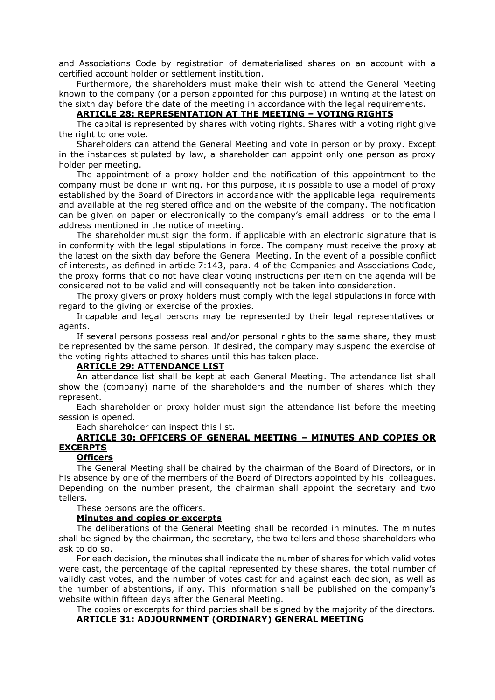and Associations Code by registration of dematerialised shares on an account with a certified account holder or settlement institution.

Furthermore, the shareholders must make their wish to attend the General Meeting known to the company (or a person appointed for this purpose) in writing at the latest on the sixth day before the date of the meeting in accordance with the legal requirements.

# **ARTICLE 28: REPRESENTATION AT THE MEETING – VOTING RIGHTS**

The capital is represented by shares with voting rights. Shares with a voting right give the right to one vote.

Shareholders can attend the General Meeting and vote in person or by proxy. Except in the instances stipulated by law, a shareholder can appoint only one person as proxy holder per meeting.

The appointment of a proxy holder and the notification of this appointment to the company must be done in writing. For this purpose, it is possible to use a model of proxy established by the Board of Directors in accordance with the applicable legal requirements and available at the registered office and on the website of the company. The notification can be given on paper or electronically to the company's email address or to the email address mentioned in the notice of meeting.

The shareholder must sign the form, if applicable with an electronic signature that is in conformity with the legal stipulations in force. The company must receive the proxy at the latest on the sixth day before the General Meeting. In the event of a possible conflict of interests, as defined in article 7:143, para. 4 of the Companies and Associations Code, the proxy forms that do not have clear voting instructions per item on the agenda will be considered not to be valid and will consequently not be taken into consideration.

The proxy givers or proxy holders must comply with the legal stipulations in force with regard to the giving or exercise of the proxies.

Incapable and legal persons may be represented by their legal representatives or agents.

If several persons possess real and/or personal rights to the same share, they must be represented by the same person. If desired, the company may suspend the exercise of the voting rights attached to shares until this has taken place.

### **ARTICLE 29: ATTENDANCE LIST**

An attendance list shall be kept at each General Meeting. The attendance list shall show the (company) name of the shareholders and the number of shares which they represent.

Each shareholder or proxy holder must sign the attendance list before the meeting session is opened.

Each shareholder can inspect this list.

### **ARTICLE 30: OFFICERS OF GENERAL MEETING – MINUTES AND COPIES OR EXCERPTS**

### **Officers**

The General Meeting shall be chaired by the chairman of the Board of Directors, or in his absence by one of the members of the Board of Directors appointed by his colleagues. Depending on the number present, the chairman shall appoint the secretary and two tellers.

These persons are the officers.

### **Minutes and copies or excerpts**

The deliberations of the General Meeting shall be recorded in minutes. The minutes shall be signed by the chairman, the secretary, the two tellers and those shareholders who ask to do so.

For each decision, the minutes shall indicate the number of shares for which valid votes were cast, the percentage of the capital represented by these shares, the total number of validly cast votes, and the number of votes cast for and against each decision, as well as the number of abstentions, if any. This information shall be published on the company's website within fifteen days after the General Meeting.

The copies or excerpts for third parties shall be signed by the majority of the directors. **ARTICLE 31: ADJOURNMENT (ORDINARY) GENERAL MEETING**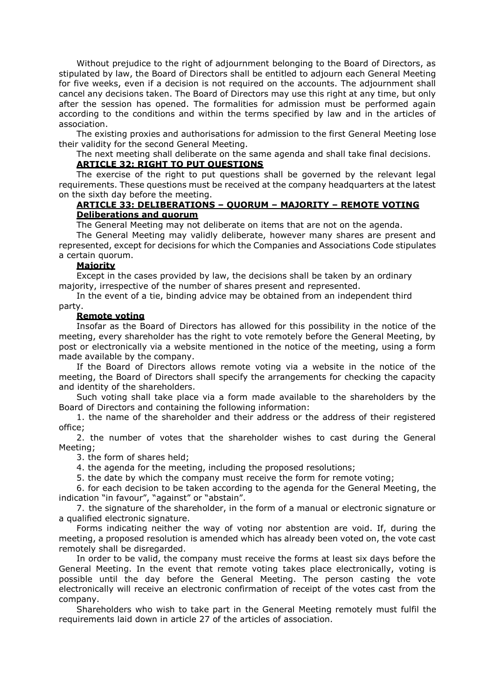Without prejudice to the right of adjournment belonging to the Board of Directors, as stipulated by law, the Board of Directors shall be entitled to adjourn each General Meeting for five weeks, even if a decision is not required on the accounts. The adjournment shall cancel any decisions taken. The Board of Directors may use this right at any time, but only after the session has opened. The formalities for admission must be performed again according to the conditions and within the terms specified by law and in the articles of association.

The existing proxies and authorisations for admission to the first General Meeting lose their validity for the second General Meeting.

The next meeting shall deliberate on the same agenda and shall take final decisions.

## **ARTICLE 32: RIGHT TO PUT QUESTIONS**

The exercise of the right to put questions shall be governed by the relevant legal requirements. These questions must be received at the company headquarters at the latest on the sixth day before the meeting.

# **ARTICLE 33: DELIBERATIONS – QUORUM – MAJORITY – REMOTE VOTING Deliberations and quorum**

The General Meeting may not deliberate on items that are not on the agenda.

The General Meeting may validly deliberate, however many shares are present and represented, except for decisions for which the Companies and Associations Code stipulates a certain quorum.

### **Majority**

Except in the cases provided by law, the decisions shall be taken by an ordinary majority, irrespective of the number of shares present and represented.

In the event of a tie, binding advice may be obtained from an independent third party.

### **Remote voting**

Insofar as the Board of Directors has allowed for this possibility in the notice of the meeting, every shareholder has the right to vote remotely before the General Meeting, by post or electronically via a website mentioned in the notice of the meeting, using a form made available by the company.

If the Board of Directors allows remote voting via a website in the notice of the meeting, the Board of Directors shall specify the arrangements for checking the capacity and identity of the shareholders.

Such voting shall take place via a form made available to the shareholders by the Board of Directors and containing the following information:

1. the name of the shareholder and their address or the address of their registered office;

2. the number of votes that the shareholder wishes to cast during the General Meeting;

3. the form of shares held;

4. the agenda for the meeting, including the proposed resolutions;

5. the date by which the company must receive the form for remote voting;

6. for each decision to be taken according to the agenda for the General Meeting, the indication "in favour", "against" or "abstain".

7. the signature of the shareholder, in the form of a manual or electronic signature or a qualified electronic signature.

Forms indicating neither the way of voting nor abstention are void. If, during the meeting, a proposed resolution is amended which has already been voted on, the vote cast remotely shall be disregarded.

In order to be valid, the company must receive the forms at least six days before the General Meeting. In the event that remote voting takes place electronically, voting is possible until the day before the General Meeting. The person casting the vote electronically will receive an electronic confirmation of receipt of the votes cast from the company.

Shareholders who wish to take part in the General Meeting remotely must fulfil the requirements laid down in article 27 of the articles of association.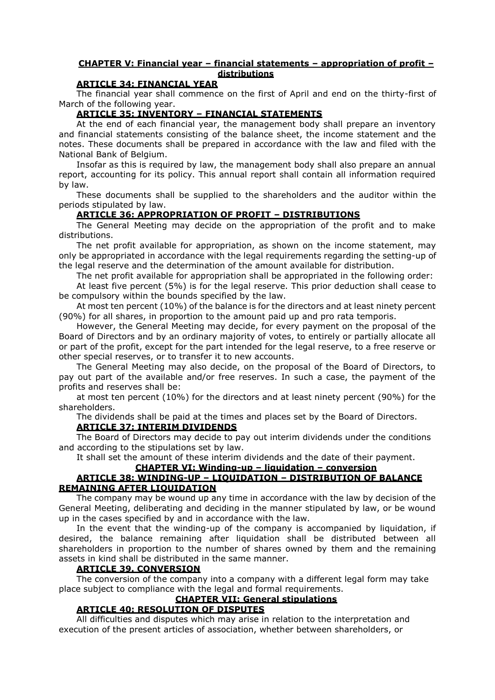# **CHAPTER V: Financial year – financial statements – appropriation of profit – distributions**

## **ARTICLE 34: FINANCIAL YEAR**

The financial year shall commence on the first of April and end on the thirty-first of March of the following year.

### **ARTICLE 35: INVENTORY – FINANCIAL STATEMENTS**

At the end of each financial year, the management body shall prepare an inventory and financial statements consisting of the balance sheet, the income statement and the notes. These documents shall be prepared in accordance with the law and filed with the National Bank of Belgium.

Insofar as this is required by law, the management body shall also prepare an annual report, accounting for its policy. This annual report shall contain all information required by law.

These documents shall be supplied to the shareholders and the auditor within the periods stipulated by law.

# **ARTICLE 36: APPROPRIATION OF PROFIT – DISTRIBUTIONS**

The General Meeting may decide on the appropriation of the profit and to make distributions.

The net profit available for appropriation, as shown on the income statement, may only be appropriated in accordance with the legal requirements regarding the setting-up of the legal reserve and the determination of the amount available for distribution.

The net profit available for appropriation shall be appropriated in the following order:

At least five percent (5%) is for the legal reserve. This prior deduction shall cease to be compulsory within the bounds specified by the law.

At most ten percent (10%) of the balance is for the directors and at least ninety percent (90%) for all shares, in proportion to the amount paid up and pro rata temporis.

However, the General Meeting may decide, for every payment on the proposal of the Board of Directors and by an ordinary majority of votes, to entirely or partially allocate all or part of the profit, except for the part intended for the legal reserve, to a free reserve or other special reserves, or to transfer it to new accounts.

The General Meeting may also decide, on the proposal of the Board of Directors, to pay out part of the available and/or free reserves. In such a case, the payment of the profits and reserves shall be:

at most ten percent (10%) for the directors and at least ninety percent (90%) for the shareholders.

The dividends shall be paid at the times and places set by the Board of Directors.

## **ARTICLE 37: INTERIM DIVIDENDS**

The Board of Directors may decide to pay out interim dividends under the conditions and according to the stipulations set by law.

It shall set the amount of these interim dividends and the date of their payment.

### **CHAPTER VI: Winding-up – liquidation – conversion**

# **ARTICLE 38: WINDING-UP – LIQUIDATION – DISTRIBUTION OF BALANCE REMAINING AFTER LIQUIDATION**

The company may be wound up any time in accordance with the law by decision of the General Meeting, deliberating and deciding in the manner stipulated by law, or be wound up in the cases specified by and in accordance with the law.

In the event that the winding-up of the company is accompanied by liquidation, if desired, the balance remaining after liquidation shall be distributed between all shareholders in proportion to the number of shares owned by them and the remaining assets in kind shall be distributed in the same manner.

### **ARTICLE 39. CONVERSION**

The conversion of the company into a company with a different legal form may take place subject to compliance with the legal and formal requirements.

# **CHAPTER VII: General stipulations**

# **ARTICLE 40: RESOLUTION OF DISPUTES**

All difficulties and disputes which may arise in relation to the interpretation and execution of the present articles of association, whether between shareholders, or